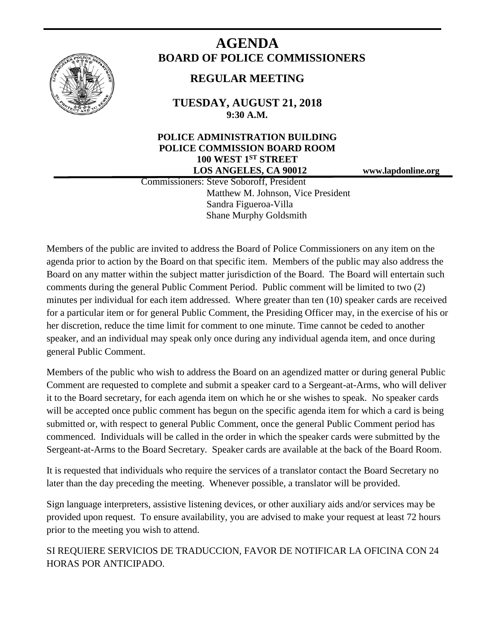

# **AGENDA BOARD OF POLICE COMMISSIONERS**

# **REGULAR MEETING**

**TUESDAY, AUGUST 21, 2018 9:30 A.M.**

# **POLICE ADMINISTRATION BUILDING POLICE COMMISSION BOARD ROOM 100 WEST 1ST STREET LOS ANGELES, CA 90012 www.lapdonline.org**

 Commissioners: Steve Soboroff, President Matthew M. Johnson, Vice President Sandra Figueroa-Villa Shane Murphy Goldsmith

Members of the public are invited to address the Board of Police Commissioners on any item on the agenda prior to action by the Board on that specific item. Members of the public may also address the Board on any matter within the subject matter jurisdiction of the Board. The Board will entertain such comments during the general Public Comment Period. Public comment will be limited to two (2) minutes per individual for each item addressed. Where greater than ten (10) speaker cards are received for a particular item or for general Public Comment, the Presiding Officer may, in the exercise of his or her discretion, reduce the time limit for comment to one minute. Time cannot be ceded to another speaker, and an individual may speak only once during any individual agenda item, and once during general Public Comment.

Members of the public who wish to address the Board on an agendized matter or during general Public Comment are requested to complete and submit a speaker card to a Sergeant-at-Arms, who will deliver it to the Board secretary, for each agenda item on which he or she wishes to speak. No speaker cards will be accepted once public comment has begun on the specific agenda item for which a card is being submitted or, with respect to general Public Comment, once the general Public Comment period has commenced. Individuals will be called in the order in which the speaker cards were submitted by the Sergeant-at-Arms to the Board Secretary. Speaker cards are available at the back of the Board Room.

It is requested that individuals who require the services of a translator contact the Board Secretary no later than the day preceding the meeting. Whenever possible, a translator will be provided.

Sign language interpreters, assistive listening devices, or other auxiliary aids and/or services may be provided upon request. To ensure availability, you are advised to make your request at least 72 hours prior to the meeting you wish to attend.

SI REQUIERE SERVICIOS DE TRADUCCION, FAVOR DE NOTIFICAR LA OFICINA CON 24 HORAS POR ANTICIPADO.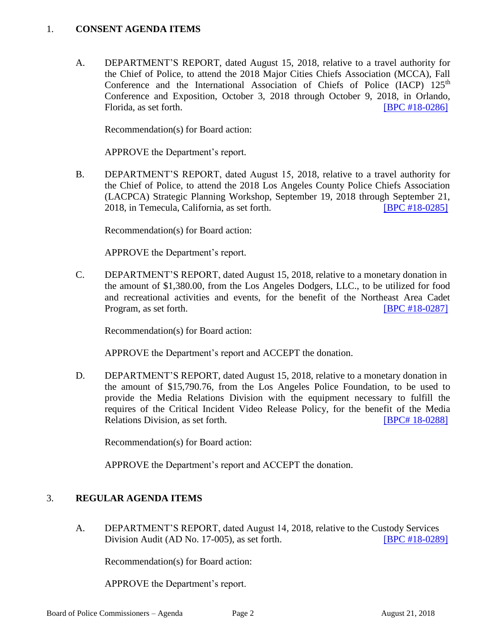#### 1. **CONSENT AGENDA ITEMS**

A. DEPARTMENT'S REPORT, dated August 15, 2018, relative to a travel authority for the Chief of Police, to attend the 2018 Major Cities Chiefs Association (MCCA), Fall Conference and the International Association of Chiefs of Police (IACP) 125<sup>th</sup> Conference and Exposition, October 3, 2018 through October 9, 2018, in Orlando, Florida, as set forth. **IFIC #18-0286** 

Recommendation(s) for Board action:

APPROVE the Department's report.

B. DEPARTMENT'S REPORT, dated August 15, 2018, relative to a travel authority for the Chief of Police, to attend the 2018 Los Angeles County Police Chiefs Association (LACPCA) Strategic Planning Workshop, September 19, 2018 through September 21, 2018, in Temecula, California, as set forth. [\[BPC #18-0285\]](http://www.lapdpolicecom.lacity.org/082118/BPC_18-0285.pdf)

Recommendation(s) for Board action:

APPROVE the Department's report.

C. DEPARTMENT'S REPORT, dated August 15, 2018, relative to a monetary donation in the amount of \$1,380.00, from the Los Angeles Dodgers, LLC., to be utilized for food and recreational activities and events, for the benefit of the Northeast Area Cadet Program, as set forth. **IDPC #18-0287** 

Recommendation(s) for Board action:

APPROVE the Department's report and ACCEPT the donation.

D. DEPARTMENT'S REPORT, dated August 15, 2018, relative to a monetary donation in the amount of \$15,790.76, from the Los Angeles Police Foundation, to be used to provide the Media Relations Division with the equipment necessary to fulfill the requires of the Critical Incident Video Release Policy, for the benefit of the Media Relations Division, as set forth. **ISPC # 18-0288** 

Recommendation(s) for Board action:

APPROVE the Department's report and ACCEPT the donation.

#### 3. **REGULAR AGENDA ITEMS**

A. DEPARTMENT'S REPORT, dated August 14, 2018, relative to the Custody Services Division Audit (AD No. 17-005), as set forth. [\[BPC #18-0289\]](http://www.lapdpolicecom.lacity.org/082118/BPC_18-0289.pdf)

Recommendation(s) for Board action:

APPROVE the Department's report.